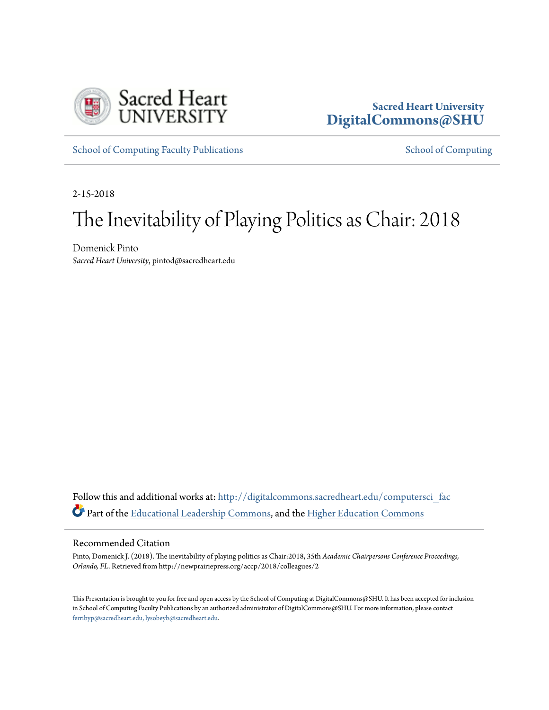

## **Sacred Heart University [DigitalCommons@SHU](http://digitalcommons.sacredheart.edu?utm_source=digitalcommons.sacredheart.edu%2Fcomputersci_fac%2F107&utm_medium=PDF&utm_campaign=PDFCoverPages)**

[School of Computing Faculty Publications](http://digitalcommons.sacredheart.edu/computersci_fac?utm_source=digitalcommons.sacredheart.edu%2Fcomputersci_fac%2F107&utm_medium=PDF&utm_campaign=PDFCoverPages) [School of Computing](http://digitalcommons.sacredheart.edu/computersci?utm_source=digitalcommons.sacredheart.edu%2Fcomputersci_fac%2F107&utm_medium=PDF&utm_campaign=PDFCoverPages) School of Computing

2-15-2018

## The Inevitability of Playing Politics as Chair: 2018

Domenick Pinto *Sacred Heart University*, pintod@sacredheart.edu

Follow this and additional works at: [http://digitalcommons.sacredheart.edu/computersci\\_fac](http://digitalcommons.sacredheart.edu/computersci_fac?utm_source=digitalcommons.sacredheart.edu%2Fcomputersci_fac%2F107&utm_medium=PDF&utm_campaign=PDFCoverPages) Part of the [Educational Leadership Commons](http://network.bepress.com/hgg/discipline/1230?utm_source=digitalcommons.sacredheart.edu%2Fcomputersci_fac%2F107&utm_medium=PDF&utm_campaign=PDFCoverPages), and the [Higher Education Commons](http://network.bepress.com/hgg/discipline/1245?utm_source=digitalcommons.sacredheart.edu%2Fcomputersci_fac%2F107&utm_medium=PDF&utm_campaign=PDFCoverPages)

## Recommended Citation

Pinto, Domenick J. (2018). The inevitability of playing politics as Chair:2018, 35th *Academic Chairpersons Conference Proceedings, Orlando, FL*. Retrieved from http://newprairiepress.org/accp/2018/colleagues/2

This Presentation is brought to you for free and open access by the School of Computing at DigitalCommons@SHU. It has been accepted for inclusion in School of Computing Faculty Publications by an authorized administrator of DigitalCommons@SHU. For more information, please contact [ferribyp@sacredheart.edu, lysobeyb@sacredheart.edu.](mailto:ferribyp@sacredheart.edu,%20lysobeyb@sacredheart.edu)